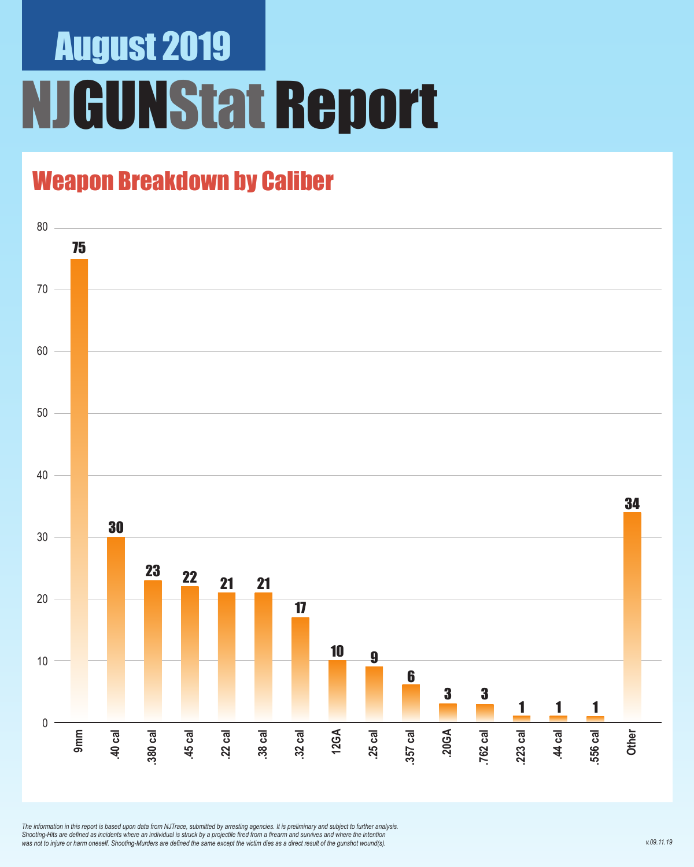## August 2019 **JGUNStat Report**

### Weapon Breakdown by Caliber



*The information in this report is based upon data from NJTrace, submitted by arresting agencies. It is preliminary and subject to further analysis. Shooting-Hits are defined as incidents where an individual is struck by a projectile fired from a firearm and survives and where the intention was not to injure or harm oneself. Shooting-Murders are defined the same except the victim dies as a direct result of the gunshot wound(s).*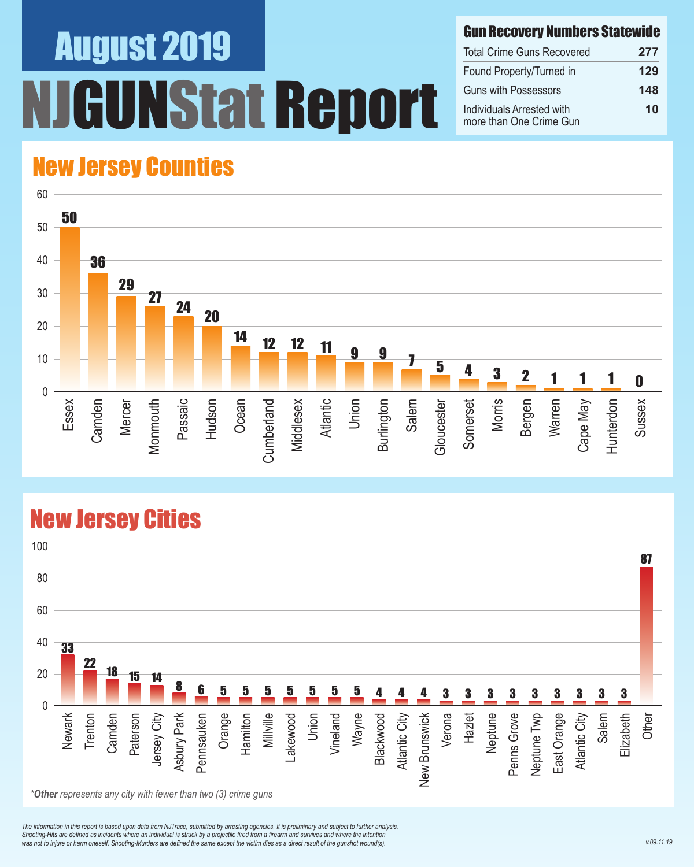# August 2019 NStat Report

#### Gun Recovery Numbers Statewide

| <b>Total Crime Guns Recovered</b>                    | 277 |
|------------------------------------------------------|-----|
| Found Property/Turned in                             | 129 |
| <b>Guns with Possessors</b>                          | 148 |
| Individuals Arrested with<br>more than One Crime Gun | 10  |

### New Jersey Counties



#### New Jersey Cities



*\*Other represents any city with fewer than two (3) crime guns*

*The information in this report is based upon data from NJTrace, submitted by arresting agencies. It is preliminary and subject to further analysis. Shooting-Hits are defined as incidents where an individual is struck by a projectile fired from a firearm and survives and where the intention*  was not to injure or harm oneself. Shooting-Murders are defined the same except the victim dies as a direct result of the gunshot wound(s).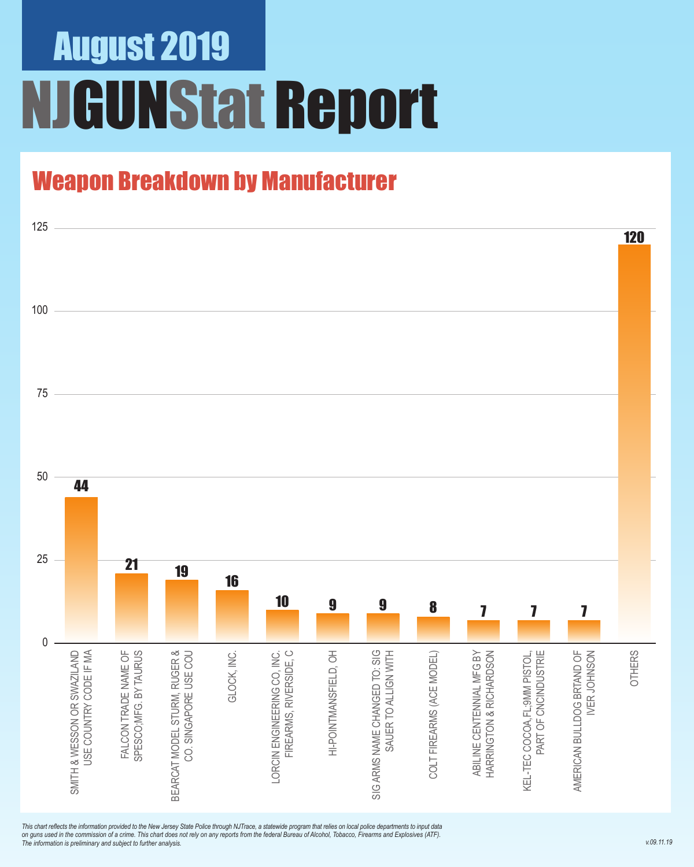## August 2019 NJGUNStat Report

### Weapon Breakdown by Manufacturer



*This chart reflects the information provided to the New Jersey State Police through NJTrace, a statewide program that relies on local police departments to input data on guns used in the commission of a crime. This chart does not rely on any reports from the federal Bureau of Alcohol, Tobacco, Firearms and Explosives (ATF). The information is preliminary and subject to further analysis.*